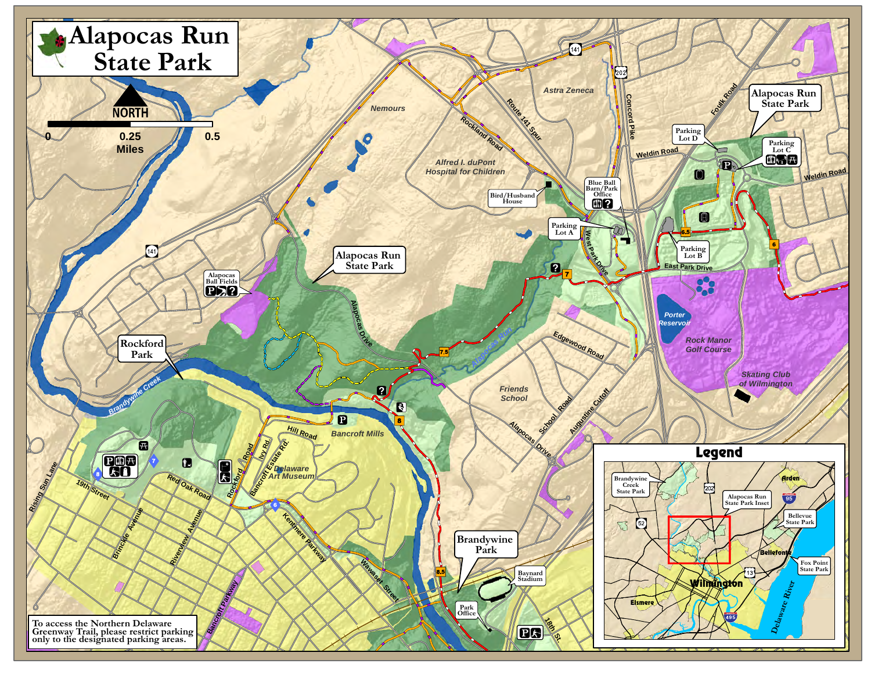